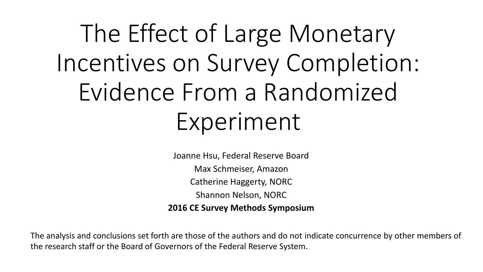The Effect of Large Monetary Incentives on Survey Completion: Evidence From a Randomized Experiment

> Joanne Hsu, Federal Reserve Board Max Schmeiser, Amazon Catherine Haggerty, NORC Shannon Nelson, NORC **2016 CE Survey Methods Symposium**

The analysis and conclusions set forth are those of the authors and do not indicate concurrence by other members of the research staff or the Board of Governors of the Federal Reserve System.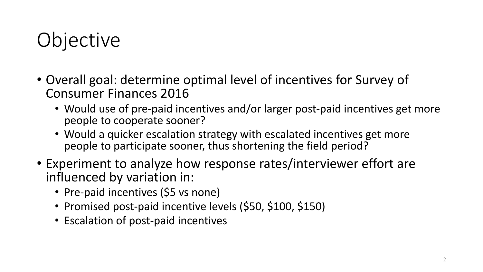# **Objective**

- Overall goal: determine optimal level of incentives for Survey of Consumer Finances 2016
	- Would use of pre-paid incentives and/or larger post-paid incentives get more people to cooperate sooner?
	- Would a quicker escalation strategy with escalated incentives get more people to participate sooner, thus shortening the field period?
- Experiment to analyze how response rates/interviewer effort are influenced by variation in:
	- Pre-paid incentives (\$5 vs none)
	- Promised post-paid incentive levels (\$50, \$100, \$150)
	- Escalation of post-paid incentives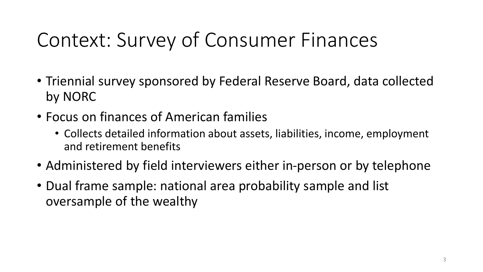## Context: Survey of Consumer Finances

- Triennial survey sponsored by Federal Reserve Board, data collected by NORC
- Focus on finances of American families
	- Collects detailed information about assets, liabilities, income, employment and retirement benefits
- Administered by field interviewers either in-person or by telephone
- Dual frame sample: national area probability sample and list oversample of the wealthy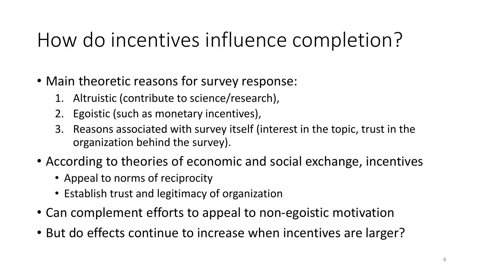## How do incentives influence completion?

- Main theoretic reasons for survey response:
	- 1. Altruistic (contribute to science/research),
	- 2. Egoistic (such as monetary incentives),
	- 3. Reasons associated with survey itself (interest in the topic, trust in the organization behind the survey).
- According to theories of economic and social exchange, incentives
	- Appeal to norms of reciprocity
	- Establish trust and legitimacy of organization
- Can complement efforts to appeal to non-egoistic motivation
- But do effects continue to increase when incentives are larger?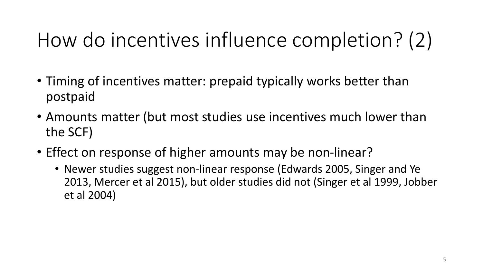# How do incentives influence completion? (2)

- Timing of incentives matter: prepaid typically works better than postpaid
- Amounts matter (but most studies use incentives much lower than the SCF)
- Effect on response of higher amounts may be non-linear?
	- Newer studies suggest non-linear response (Edwards 2005, Singer and Ye 2013, Mercer et al 2015), but older studies did not (Singer et al 1999, Jobber et al 2004)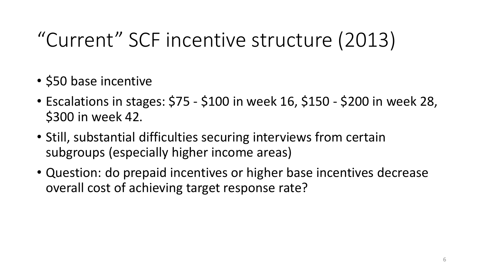# "Current" SCF incentive structure (2013)

- \$50 base incentive
- Escalations in stages: \$75 \$100 in week 16, \$150 \$200 in week 28, \$300 in week 42.
- Still, substantial difficulties securing interviews from certain subgroups (especially higher income areas)
- Question: do prepaid incentives or higher base incentives decrease overall cost of achieving target response rate?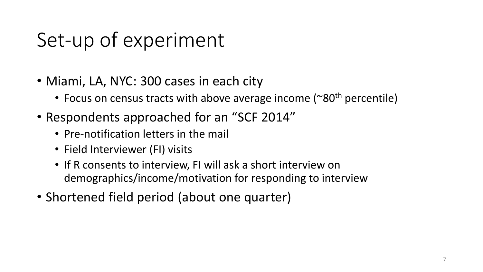# Set-up of experiment

- Miami, LA, NYC: 300 cases in each city
	- Focus on census tracts with above average income ( $\sim 80$ <sup>th</sup> percentile)
- Respondents approached for an "SCF 2014"
	- Pre-notification letters in the mail
	- Field Interviewer (FI) visits
	- If R consents to interview, FI will ask a short interview on demographics/income/motivation for responding to interview
- Shortened field period (about one quarter)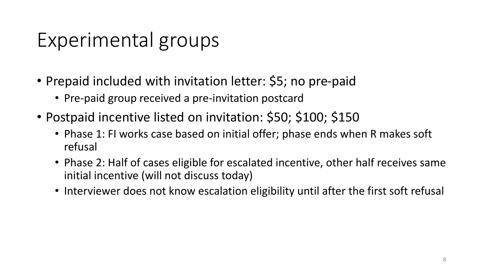### Experimental groups

- Prepaid included with invitation letter: \$5; no pre-paid
	- Pre-paid group received a pre-invitation postcard
- Postpaid incentive listed on invitation: \$50; \$100; \$150
	- Phase 1: FI works case based on initial offer; phase ends when R makes soft refusal
	- Phase 2: Half of cases eligible for escalated incentive, other half receives same initial incentive (will not discuss today)
	- Interviewer does not know escalation eligibility until after the first soft refusal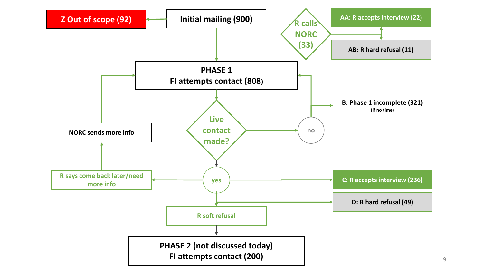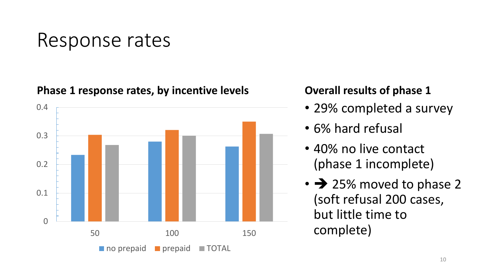### Response rates

**Phase 1 response rates, by incentive levels**



#### **Overall results of phase 1**

- 29% completed a survey
- 6% hard refusal
- 40% no live contact (phase 1 incomplete)
- $\cdot$   $\rightarrow$  25% moved to phase 2 (soft refusal 200 cases, but little time to complete)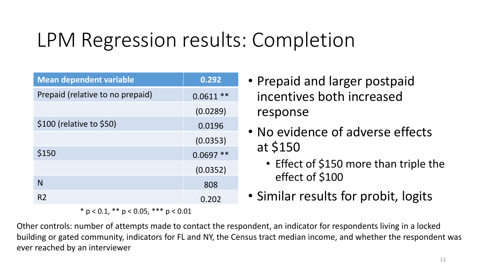## LPM Regression results: Completion

| <b>Mean dependent variable</b>   | 0.292      |
|----------------------------------|------------|
| Prepaid (relative to no prepaid) | $0.0611**$ |
|                                  | (0.0289)   |
| \$100 (relative to \$50)         | 0.0196     |
|                                  | (0.0353)   |
| \$150                            | $0.0697**$ |
|                                  | (0.0352)   |
| N                                | 808        |
| R <sub>2</sub>                   | 0.202      |

 $*$  p < 0.1,  $*$  p < 0.05,  $***$  p < 0.01

- Prepaid and larger postpaid incentives both increased response
- No evidence of adverse effects at \$150
	- Effect of \$150 more than triple the effect of \$100
- Similar results for probit, logits

Other controls: number of attempts made to contact the respondent, an indicator for respondents living in a locked building or gated community, indicators for FL and NY, the Census tract median income, and whether the respondent was ever reached by an interviewer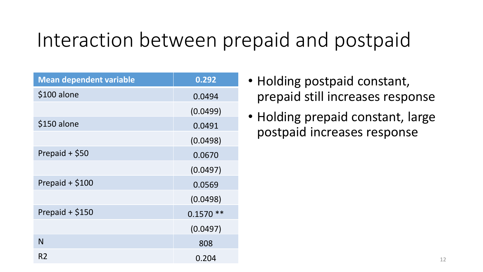### Interaction between prepaid and postpaid

| <b>Mean dependent variable</b> | 0.292      |
|--------------------------------|------------|
| $$100$ alone                   | 0.0494     |
|                                | (0.0499)   |
| \$150 alone                    | 0.0491     |
|                                | (0.0498)   |
| Prepaid + \$50                 | 0.0670     |
|                                | (0.0497)   |
| Prepaid $+$ \$100              | 0.0569     |
|                                | (0.0498)   |
| Prepaid + \$150                | $0.1570**$ |
|                                | (0.0497)   |
| N                              | 808        |
| R <sub>2</sub>                 | 0.204      |

- Holding postpaid constant, prepaid still increases response
- Holding prepaid constant, large postpaid increases response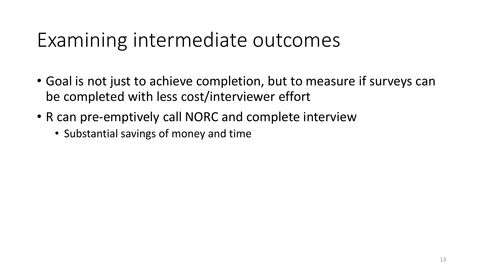### Examining intermediate outcomes

- Goal is not just to achieve completion, but to measure if surveys can be completed with less cost/interviewer effort
- R can pre-emptively call NORC and complete interview
	- Substantial savings of money and time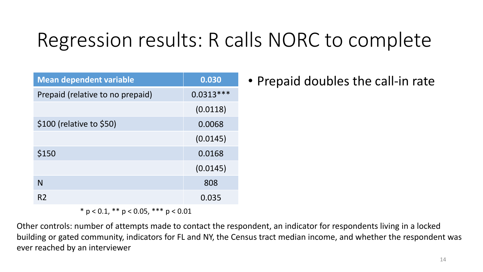# Regression results: R calls NORC to complete

| <b>Mean dependent variable</b>   | 0.030       |
|----------------------------------|-------------|
| Prepaid (relative to no prepaid) | $0.0313***$ |
|                                  | (0.0118)    |
| \$100 (relative to \$50)         | 0.0068      |
|                                  | (0.0145)    |
| \$150                            | 0.0168      |
|                                  | (0.0145)    |
| N                                | 808         |
| R <sub>2</sub>                   | 0.035       |

 $*$  p < 0.1,  $*$  p < 0.05,  $**$  p < 0.01

Other controls: number of attempts made to contact the respondent, an indicator for respondents living in a locked building or gated community, indicators for FL and NY, the Census tract median income, and whether the respondent was ever reached by an interviewer

• Prepaid doubles the call-in rate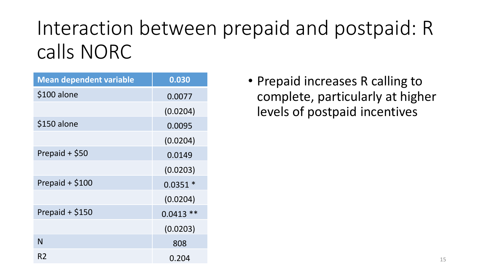# Interaction between prepaid and postpaid: R calls NORC

| <b>Mean dependent variable</b> | 0.030      |
|--------------------------------|------------|
| \$100 alone                    | 0.0077     |
|                                | (0.0204)   |
| \$150 alone                    | 0.0095     |
|                                | (0.0204)   |
| Prepaid + \$50                 | 0.0149     |
|                                | (0.0203)   |
| Prepaid $+$ \$100              | $0.0351*$  |
|                                | (0.0204)   |
| Prepaid $+$ \$150              | $0.0413**$ |
|                                | (0.0203)   |
| N                              | 808        |
| R2                             | 0.204      |

• Prepaid increases R calling to complete, particularly at higher levels of postpaid incentives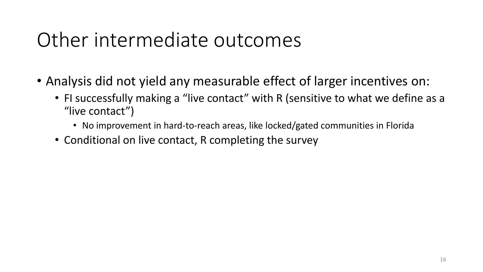### Other intermediate outcomes

- Analysis did not yield any measurable effect of larger incentives on:
	- FI successfully making a "live contact" with R (sensitive to what we define as a "live contact")
		- No improvement in hard-to-reach areas, like locked/gated communities in Florida
	- Conditional on live contact, R completing the survey